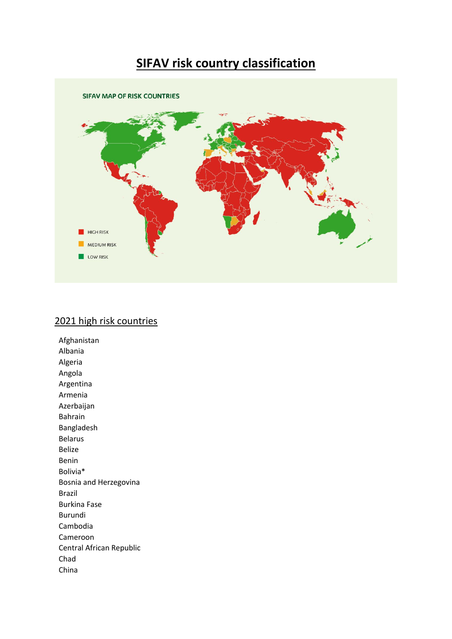## **SIFAV risk country classification**



## 2021 high risk countries

Afghanistan Albania Algeria Angola Argentina Armenia Azerbaijan Bahrain Bangladesh Belarus Belize Benin Bolivia\* Bosnia and Herzegovina Brazil Burkina Fase Burundi Cambodia Cameroon Central African Republic Chad China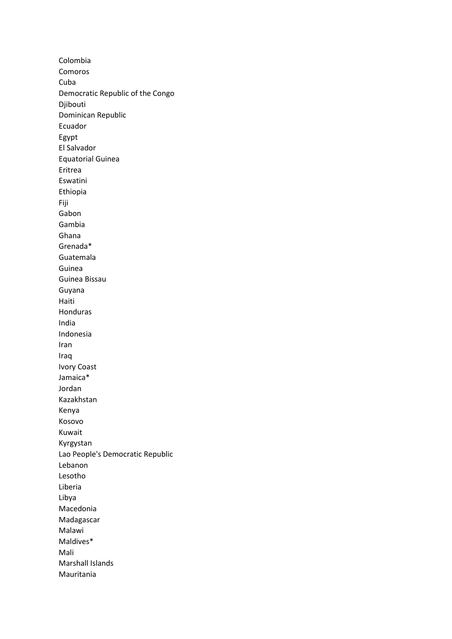Colombia Comoros Cuba Democratic Republic of the Congo Djibouti Dominican Republic Ecuador Egypt El Salvador Equatorial Guinea Eritrea Eswatini Ethiopia Fiji Gabon Gambia Ghana Grenada\* Guatemala Guinea Guinea Bissau Guyana Haiti Honduras India Indonesia Iran Iraq Ivory Coast Jamaica\* Jordan Kazakhstan Kenya Kosovo Kuwait Kyrgystan Lao People's Democratic Republic Lebanon Lesotho Liberia Libya Macedonia Madagascar Malawi Maldives\* Mali Marshall Islands Mauritania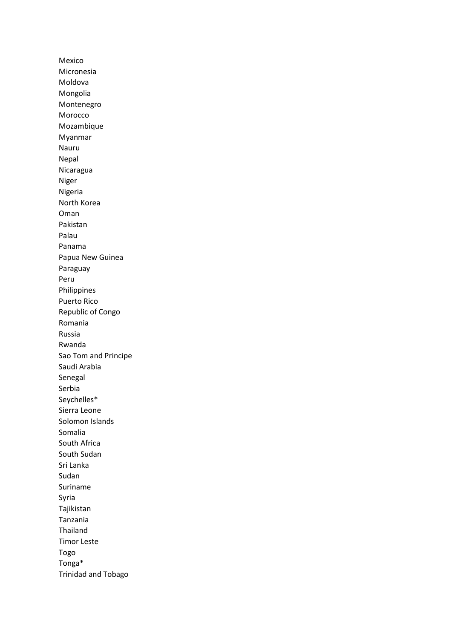Mexico Micronesia Moldova Mongolia Montenegro Morocco Mozambique Myanmar Nauru Nepal Nicaragua Niger Nigeria North Korea Oman Pakistan Palau Panama Papua New Guinea Paraguay Peru Philippines Puerto Rico Republic of Congo Romania Russia Rwanda Sao Tom and Principe Saudi Arabia Senegal Serbia Seychelles\* Sierra Leone Solomon Islands Somalia South Africa South Sudan Sri Lanka Sudan Suriname Syria Tajikistan Tanzania Thailand Timor Leste Togo Tonga\* Trinidad and Tobago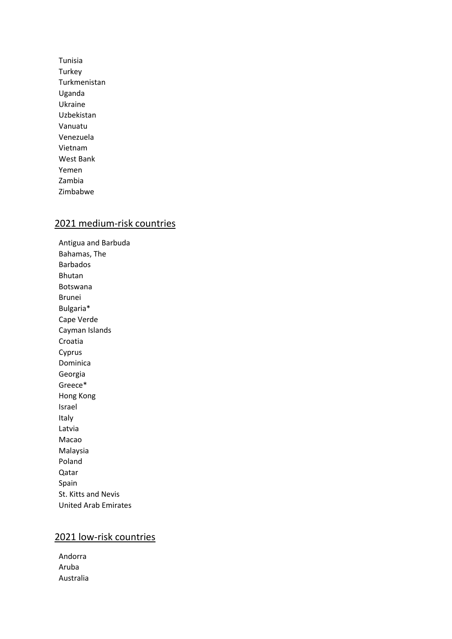Tunisia Turkey Turkmenistan Uganda Ukraine Uzbekistan Vanuatu Venezuela Vietnam West Bank Yemen Zambia Zimbabwe

## 2021 medium-risk countries

Antigua and Barbuda Bahamas, The Barbados Bhutan Botswana Brunei Bulgaria\* Cape Verde Cayman Islands Croatia Cyprus Dominica Georgia Greece\* Hong Kong Israel Italy Latvia Macao Malaysia Poland Qatar Spain St. Kitts and Nevis United Arab Emirates

## 2021 low-risk countries

Andorra Aruba Australia